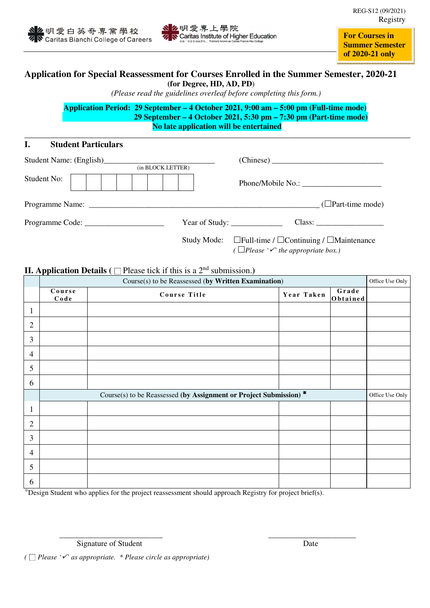



**For Courses in Summer Semester of 2020-21 only**

## **Application for Special Reassessment for Courses Enrolled in the Summer Semester, 2020-21 (for Degree, HD, AD, PD**)

 *(Please read the guidelines overleaf before completing this form.)* 

**Application Period: 29 September – 4 October 2021, 9:00 am – 5:00 pm (Full-time mode) 29 September – 4 October 2021, 5:30 pm – 7:30 pm (Part-time mode) No late application will be entertained**

**\_\_\_\_\_\_\_\_\_\_\_\_\_\_\_\_\_\_\_\_\_\_\_\_\_\_\_\_\_\_\_\_\_\_\_\_\_\_\_\_\_\_\_\_\_\_\_\_\_\_\_\_\_\_\_\_\_\_\_\_\_\_\_\_\_\_\_\_\_\_\_\_\_\_\_\_\_\_\_\_\_\_\_\_\_\_\_\_\_** 

## **I. Student Particulars**

| (in BLOCK LETTER) |                                                                                                                                 |
|-------------------|---------------------------------------------------------------------------------------------------------------------------------|
| Student No:       |                                                                                                                                 |
|                   |                                                                                                                                 |
|                   | Year of Study: $\_\_\_\_\_\_\_\_\_\_\_\_\_\_\_\_\_\_$                                                                           |
|                   | Study Mode: $\Box$ Full-time / $\Box$ Continuing / $\Box$ Maintenance<br>( $\Box$ Please ' $\checkmark$ ' the appropriate box.) |

### **II. Application Details (** $\Box$  Please tick if this is a 2<sup>nd</sup> submission.)

|                | Course(s) to be Reassessed (by Written Examination)                                     |              |            |                   |  |  |
|----------------|-----------------------------------------------------------------------------------------|--------------|------------|-------------------|--|--|
|                | Course<br>$C$ ode                                                                       | Course Title | Year Taken | Grade<br>Obtained |  |  |
| $\mathbf{1}$   |                                                                                         |              |            |                   |  |  |
| $\mathbf{2}$   |                                                                                         |              |            |                   |  |  |
| $\mathfrak{Z}$ |                                                                                         |              |            |                   |  |  |
| $\overline{4}$ |                                                                                         |              |            |                   |  |  |
| 5              |                                                                                         |              |            |                   |  |  |
| 6              |                                                                                         |              |            |                   |  |  |
|                | Course(s) to be Reassessed (by Assignment or Project Submission) $*$<br>Office Use Only |              |            |                   |  |  |
| $\mathbf{1}$   |                                                                                         |              |            |                   |  |  |
| $\overline{2}$ |                                                                                         |              |            |                   |  |  |
| 3              |                                                                                         |              |            |                   |  |  |
| $\overline{4}$ |                                                                                         |              |            |                   |  |  |
| 5              |                                                                                         |              |            |                   |  |  |
| 6              |                                                                                         |              |            |                   |  |  |

\_\_\_\_\_\_\_\_\_\_\_\_\_\_\_\_\_\_\_\_\_\_\_\_\_\_ \_\_\_\_\_\_\_\_\_\_\_\_\_\_\_\_\_\_\_\_\_\_

※Design Student who applies for the project reassessment should approach Registry for project brief(s).

Signature of Student Date

*(* □ *Please '' as appropriate. \* Please circle as appropriate)*